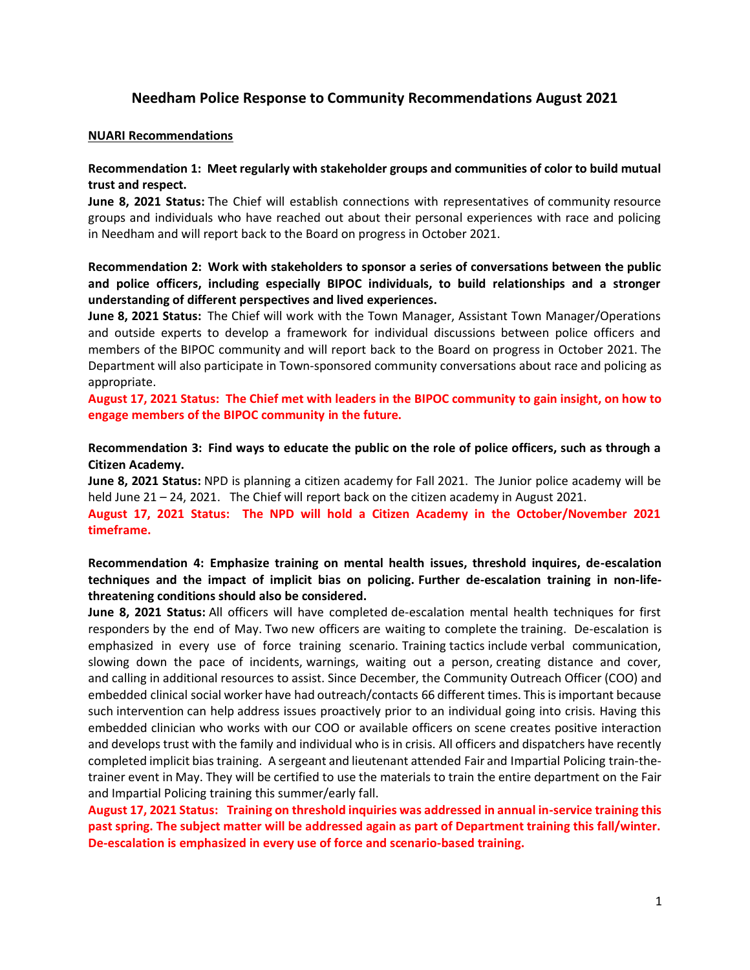# **Needham Police Response to Community Recommendations August 2021**

#### **NUARI Recommendations**

# **Recommendation 1: Meet regularly with stakeholder groups and communities of color to build mutual trust and respect.**

**June 8, 2021 Status:** The Chief will establish connections with representatives of community resource groups and individuals who have reached out about their personal experiences with race and policing in Needham and will report back to the Board on progress in October 2021.

# **Recommendation 2: Work with stakeholders to sponsor a series of conversations between the public and police officers, including especially BIPOC individuals, to build relationships and a stronger understanding of different perspectives and lived experiences.**

**June 8, 2021 Status:** The Chief will work with the Town Manager, Assistant Town Manager/Operations and outside experts to develop a framework for individual discussions between police officers and members of the BIPOC community and will report back to the Board on progress in October 2021. The Department will also participate in Town-sponsored community conversations about race and policing as appropriate.

**August 17, 2021 Status: The Chief met with leaders in the BIPOC community to gain insight, on how to engage members of the BIPOC community in the future.** 

# **Recommendation 3: Find ways to educate the public on the role of police officers, such as through a Citizen Academy.**

**June 8, 2021 Status:** NPD is planning a citizen academy for Fall 2021. The Junior police academy will be held June 21 – 24, 2021. The Chief will report back on the citizen academy in August 2021.

**August 17, 2021 Status: The NPD will hold a Citizen Academy in the October/November 2021 timeframe.** 

# **Recommendation 4: Emphasize training on mental health issues, threshold inquires, de-escalation techniques and the impact of implicit bias on policing. Further de-escalation training in non-lifethreatening conditions should also be considered.**

**June 8, 2021 Status:** All officers will have completed de-escalation mental health techniques for first responders by the end of May. Two new officers are waiting to complete the training. De-escalation is emphasized in every use of force training scenario. Training tactics include verbal communication, slowing down the pace of incidents, warnings, waiting out a person, creating distance and cover, and calling in additional resources to assist. Since December, the Community Outreach Officer (COO) and embedded clinical social worker have had outreach/contacts 66 different times. This is important because such intervention can help address issues proactively prior to an individual going into crisis. Having this embedded clinician who works with our COO or available officers on scene creates positive interaction and develops trust with the family and individual who is in crisis. All officers and dispatchers have recently completed implicit bias training. A sergeant and lieutenant attended Fair and Impartial Policing train-thetrainer event in May. They will be certified to use the materials to train the entire department on the Fair and Impartial Policing training this summer/early fall.

**August 17, 2021 Status: Training on threshold inquiries was addressed in annual in-service training this past spring. The subject matter will be addressed again as part of Department training this fall/winter. De-escalation is emphasized in every use of force and scenario-based training.**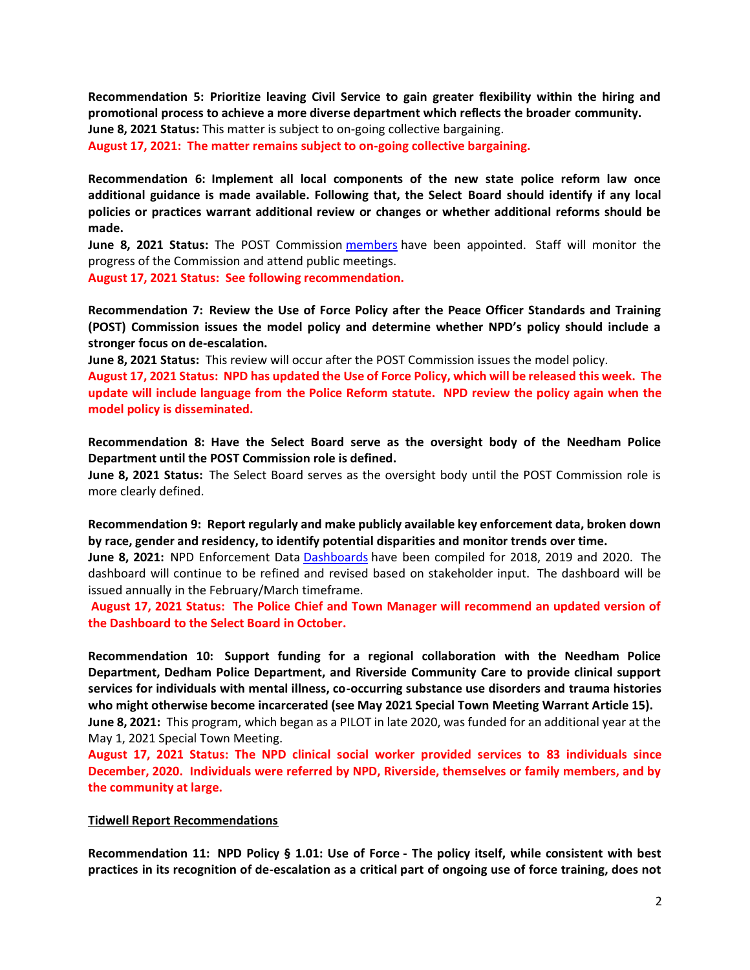**Recommendation 5: Prioritize leaving Civil Service to gain greater flexibility within the hiring and promotional process to achieve a more diverse department which reflects the broader community. June 8, 2021 Status:** This matter is subject to on-going collective bargaining.

**August 17, 2021: The matter remains subject to on-going collective bargaining.**

**Recommendation 6: Implement all local components of the new state police reform law once additional guidance is made available. Following that, the Select Board should identify if any local policies or practices warrant additional review or changes or whether additional reforms should be made.** 

**June 8, 2021 Status:** The POST Commission [members](https://www.mass.gov/news/governor-and-attorney-general-appoint-9-inaugural-members-to-the-massachusetts-peace-officer-standards-and-training-commission) have been appointed. Staff will monitor the progress of the Commission and attend public meetings.

**August 17, 2021 Status: See following recommendation.**

**Recommendation 7: Review the Use of Force Policy after the Peace Officer Standards and Training (POST) Commission issues the model policy and determine whether NPD's policy should include a stronger focus on de-escalation.** 

**June 8, 2021 Status:** This review will occur after the POST Commission issues the model policy.

**August 17, 2021 Status: NPD has updated the Use of Force Policy, which will be released this week. The update will include language from the Police Reform statute. NPD review the policy again when the model policy is disseminated.**

**Recommendation 8: Have the Select Board serve as the oversight body of the Needham Police Department until the POST Commission role is defined.** 

**June 8, 2021 Status:** The Select Board serves as the oversight body until the POST Commission role is more clearly defined.

**Recommendation 9: Report regularly and make publicly available key enforcement data, broken down by race, gender and residency, to identify potential disparities and monitor trends over time.** 

**June 8, 2021:** NPD Enforcement Data [Dashboards](http://needhamma.gov/4998/Annual-Data-Reports) have been compiled for 2018, 2019 and 2020. The dashboard will continue to be refined and revised based on stakeholder input. The dashboard will be issued annually in the February/March timeframe.

**August 17, 2021 Status: The Police Chief and Town Manager will recommend an updated version of the Dashboard to the Select Board in October.**

**Recommendation 10: Support funding for a regional collaboration with the Needham Police Department, Dedham Police Department, and Riverside Community Care to provide clinical support services for individuals with mental illness, co-occurring substance use disorders and trauma histories who might otherwise become incarcerated (see May 2021 Special Town Meeting Warrant Article 15). June 8, 2021:** This program, which began as a PILOT in late 2020, was funded for an additional year at the May 1, 2021 Special Town Meeting.

**August 17, 2021 Status: The NPD clinical social worker provided services to 83 individuals since December, 2020. Individuals were referred by NPD, Riverside, themselves or family members, and by the community at large.** 

#### **Tidwell Report Recommendations**

**Recommendation 11: NPD Policy § 1.01: Use of Force - The policy itself, while consistent with best practices in its recognition of de-escalation as a critical part of ongoing use of force training, does not**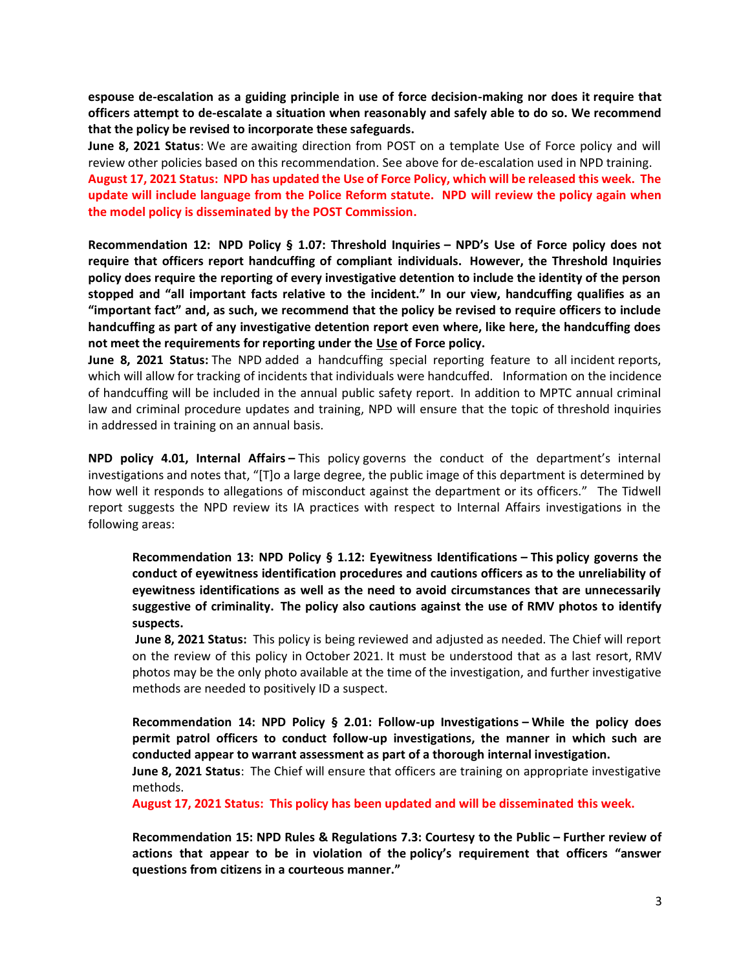**espouse de-escalation as a guiding principle in use of force decision-making nor does it require that officers attempt to de-escalate a situation when reasonably and safely able to do so. We recommend that the policy be revised to incorporate these safeguards.**

**June 8, 2021 Status**: We are awaiting direction from POST on a template Use of Force policy and will review other policies based on this recommendation. See above for de-escalation used in NPD training. **August 17, 2021 Status: NPD has updated the Use of Force Policy, which will be released this week. The update will include language from the Police Reform statute. NPD will review the policy again when the model policy is disseminated by the POST Commission.**

**Recommendation 12: NPD Policy § 1.07: Threshold Inquiries – NPD's Use of Force policy does not require that officers report handcuffing of compliant individuals. However, the Threshold Inquiries policy does require the reporting of every investigative detention to include the identity of the person stopped and "all important facts relative to the incident." In our view, handcuffing qualifies as an "important fact" and, as such, we recommend that the policy be revised to require officers to include handcuffing as part of any investigative detention report even where, like here, the handcuffing does not meet the requirements for reporting under the Use of Force policy.** 

**June 8, 2021 Status:** The NPD added a handcuffing special reporting feature to all incident reports, which will allow for tracking of incidents that individuals were handcuffed. Information on the incidence of handcuffing will be included in the annual public safety report. In addition to MPTC annual criminal law and criminal procedure updates and training, NPD will ensure that the topic of threshold inquiries in addressed in training on an annual basis.

**NPD policy 4.01, Internal Affairs –** This policy governs the conduct of the department's internal investigations and notes that, "[T]o a large degree, the public image of this department is determined by how well it responds to allegations of misconduct against the department or its officers." The Tidwell report suggests the NPD review its IA practices with respect to Internal Affairs investigations in the following areas:

**Recommendation 13: NPD Policy § 1.12: Eyewitness Identifications – This policy governs the conduct of eyewitness identification procedures and cautions officers as to the unreliability of eyewitness identifications as well as the need to avoid circumstances that are unnecessarily suggestive of criminality. The policy also cautions against the use of RMV photos to identify suspects.**

**June 8, 2021 Status:** This policy is being reviewed and adjusted as needed. The Chief will report on the review of this policy in October 2021. It must be understood that as a last resort, RMV photos may be the only photo available at the time of the investigation, and further investigative methods are needed to positively ID a suspect.

**Recommendation 14: NPD Policy § 2.01: Follow-up Investigations – While the policy does permit patrol officers to conduct follow-up investigations, the manner in which such are conducted appear to warrant assessment as part of a thorough internal investigation.**

**June 8, 2021 Status**: The Chief will ensure that officers are training on appropriate investigative methods.

**August 17, 2021 Status: This policy has been updated and will be disseminated this week.**

**Recommendation 15: NPD Rules & Regulations 7.3: Courtesy to the Public – Further review of actions that appear to be in violation of the policy's requirement that officers "answer questions from citizens in a courteous manner."**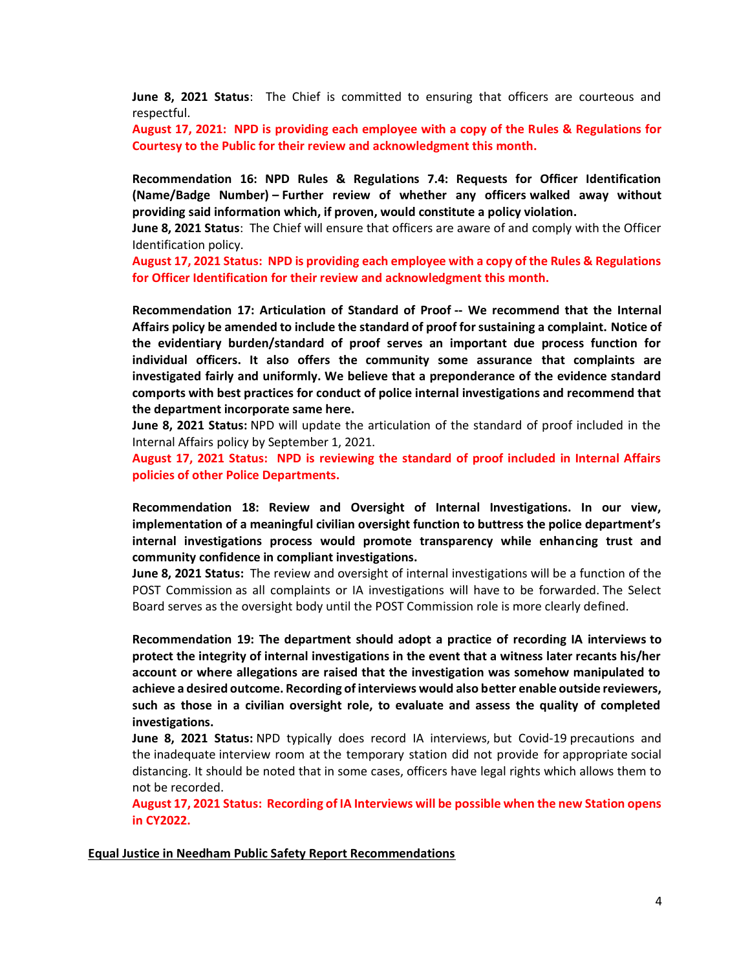**June 8, 2021 Status**: The Chief is committed to ensuring that officers are courteous and respectful.

**August 17, 2021: NPD is providing each employee with a copy of the Rules & Regulations for Courtesy to the Public for their review and acknowledgment this month.** 

**Recommendation 16: NPD Rules & Regulations 7.4: Requests for Officer Identification (Name/Badge Number) – Further review of whether any officers walked away without providing said information which, if proven, would constitute a policy violation.**

**June 8, 2021 Status**: The Chief will ensure that officers are aware of and comply with the Officer Identification policy.

**August 17, 2021 Status: NPD is providing each employee with a copy of the Rules & Regulations for Officer Identification for their review and acknowledgment this month.** 

**Recommendation 17: Articulation of Standard of Proof -- We recommend that the Internal Affairs policy be amended to include the standard of proof for sustaining a complaint. Notice of the evidentiary burden/standard of proof serves an important due process function for individual officers. It also offers the community some assurance that complaints are investigated fairly and uniformly. We believe that a preponderance of the evidence standard comports with best practices for conduct of police internal investigations and recommend that the department incorporate same here.**

**June 8, 2021 Status:** NPD will update the articulation of the standard of proof included in the Internal Affairs policy by September 1, 2021.

**August 17, 2021 Status: NPD is reviewing the standard of proof included in Internal Affairs policies of other Police Departments.** 

**Recommendation 18: Review and Oversight of Internal Investigations. In our view, implementation of a meaningful civilian oversight function to buttress the police department's internal investigations process would promote transparency while enhancing trust and community confidence in compliant investigations.** 

**June 8, 2021 Status:** The review and oversight of internal investigations will be a function of the POST Commission as all complaints or IA investigations will have to be forwarded. The Select Board serves as the oversight body until the POST Commission role is more clearly defined.

**Recommendation 19: The department should adopt a practice of recording IA interviews to protect the integrity of internal investigations in the event that a witness later recants his/her account or where allegations are raised that the investigation was somehow manipulated to achieve a desired outcome. Recording of interviews would also better enable outside reviewers, such as those in a civilian oversight role, to evaluate and assess the quality of completed investigations.**

**June 8, 2021 Status:** NPD typically does record IA interviews, but Covid-19 precautions and the inadequate interview room at the temporary station did not provide for appropriate social distancing. It should be noted that in some cases, officers have legal rights which allows them to not be recorded.

**August 17, 2021 Status: Recording of IA Interviews will be possible when the new Station opens in CY2022.**

**Equal Justice in Needham Public Safety Report Recommendations**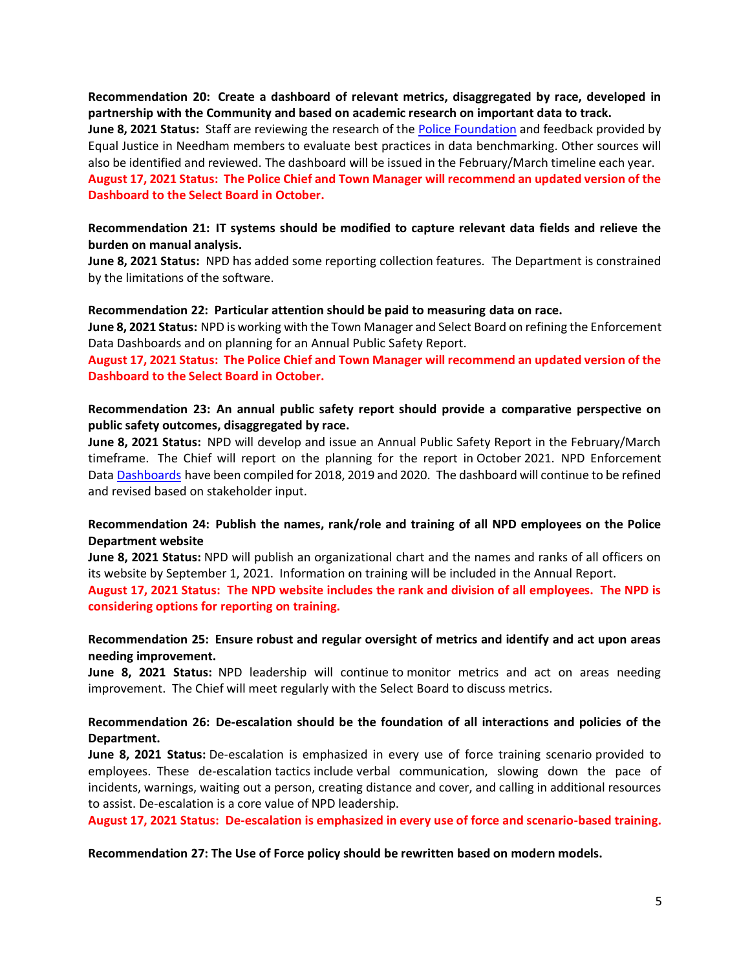**Recommendation 20: Create a dashboard of relevant metrics, disaggregated by race, developed in partnership with the Community and based on academic research on important data to track.**

**June 8, 2021 Status:** Staff are reviewing the research of the Police [Foundation](https://www.policefoundation.org/) and feedback provided by Equal Justice in Needham members to evaluate best practices in data benchmarking. Other sources will also be identified and reviewed. The dashboard will be issued in the February/March timeline each year. **August 17, 2021 Status: The Police Chief and Town Manager will recommend an updated version of the Dashboard to the Select Board in October.**

### **Recommendation 21: IT systems should be modified to capture relevant data fields and relieve the burden on manual analysis.**

**June 8, 2021 Status:** NPD has added some reporting collection features. The Department is constrained by the limitations of the software.

#### **Recommendation 22: Particular attention should be paid to measuring data on race.**

**June 8, 2021 Status:** NPD is working with the Town Manager and Select Board on refining the Enforcement Data Dashboards and on planning for an Annual Public Safety Report.

**August 17, 2021 Status: The Police Chief and Town Manager will recommend an updated version of the Dashboard to the Select Board in October.**

### **Recommendation 23: An annual public safety report should provide a comparative perspective on public safety outcomes, disaggregated by race.**

**June 8, 2021 Status:** NPD will develop and issue an Annual Public Safety Report in the February/March timeframe. The Chief will report on the planning for the report in October 2021. NPD Enforcement Data [Dashboards](http://needhamma.gov/4998/Annual-Data-Reports) have been compiled for 2018, 2019 and 2020. The dashboard will continue to be refined and revised based on stakeholder input.

### **Recommendation 24: Publish the names, rank/role and training of all NPD employees on the Police Department website**

**June 8, 2021 Status:** NPD will publish an organizational chart and the names and ranks of all officers on its website by September 1, 2021. Information on training will be included in the Annual Report.

**August 17, 2021 Status: The NPD website includes the rank and division of all employees. The NPD is considering options for reporting on training.**

### **Recommendation 25: Ensure robust and regular oversight of metrics and identify and act upon areas needing improvement.**

**June 8, 2021 Status:** NPD leadership will continue to monitor metrics and act on areas needing improvement. The Chief will meet regularly with the Select Board to discuss metrics.

### **Recommendation 26: De-escalation should be the foundation of all interactions and policies of the Department.**

**June 8, 2021 Status:** De-escalation is emphasized in every use of force training scenario provided to employees. These de-escalation tactics include verbal communication, slowing down the pace of incidents, warnings, waiting out a person, creating distance and cover, and calling in additional resources to assist. De-escalation is a core value of NPD leadership.

**August 17, 2021 Status: De-escalation is emphasized in every use of force and scenario-based training.**

**Recommendation 27: The Use of Force policy should be rewritten based on modern models.**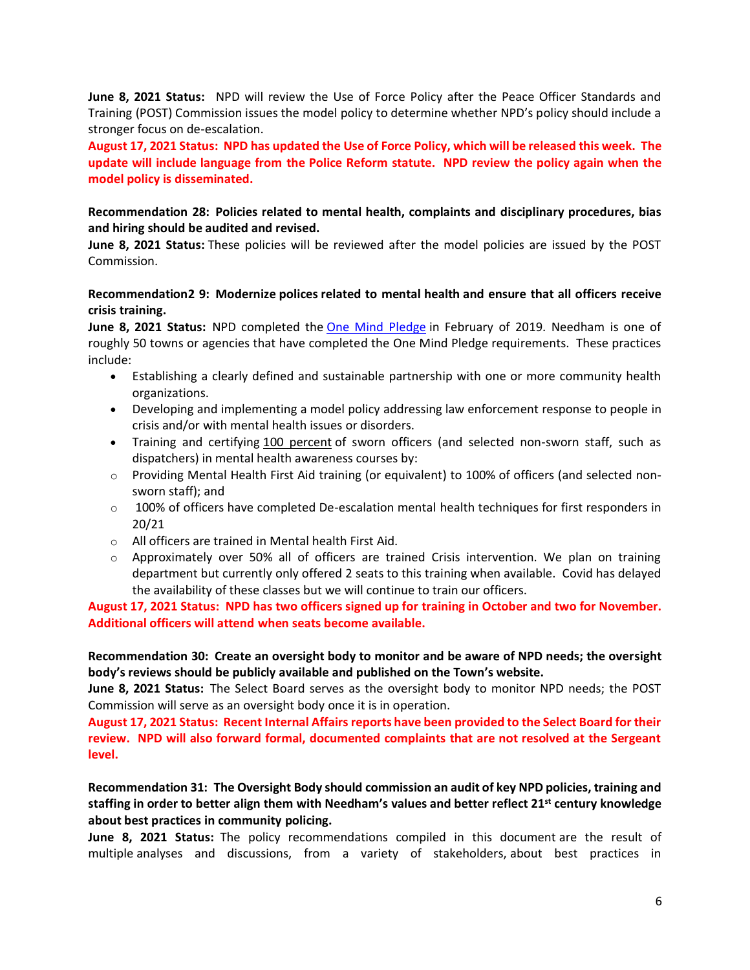**June 8, 2021 Status:** NPD will review the Use of Force Policy after the Peace Officer Standards and Training (POST) Commission issues the model policy to determine whether NPD's policy should include a stronger focus on de-escalation.

**August 17, 2021 Status: NPD has updated the Use of Force Policy, which will be released this week. The update will include language from the Police Reform statute. NPD review the policy again when the model policy is disseminated.**

# **Recommendation 28: Policies related to mental health, complaints and disciplinary procedures, bias and hiring should be audited and revised.**

**June 8, 2021 Status:** These policies will be reviewed after the model policies are issued by the POST Commission.

# **Recommendation2 9: Modernize polices related to mental health and ensure that all officers receive crisis training.**

**June 8, 2021 Status:** NPD completed the [One Mind Pledge](https://www.theiacp.org/one-mind-pledge) in February of 2019. Needham is one of roughly 50 towns or agencies that have completed the One Mind Pledge requirements. These practices include:

- Establishing a clearly defined and sustainable partnership with one or more community health organizations.
- Developing and implementing a model policy addressing law enforcement response to people in crisis and/or with mental health issues or disorders.
- Training and certifying 100 percent of sworn officers (and selected non-sworn staff, such as dispatchers) in mental health awareness courses by:
- $\circ$  Providing Mental Health First Aid training (or equivalent) to 100% of officers (and selected nonsworn staff); and
- $\circ$  100% of officers have completed De-escalation mental health techniques for first responders in 20/21
- o All officers are trained in Mental health First Aid.
- $\circ$  Approximately over 50% all of officers are trained Crisis intervention. We plan on training department but currently only offered 2 seats to this training when available. Covid has delayed the availability of these classes but we will continue to train our officers.

**August 17, 2021 Status: NPD has two officers signed up for training in October and two for November. Additional officers will attend when seats become available.**

**Recommendation 30: Create an oversight body to monitor and be aware of NPD needs; the oversight body's reviews should be publicly available and published on the Town's website.**

**June 8, 2021 Status:** The Select Board serves as the oversight body to monitor NPD needs; the POST Commission will serve as an oversight body once it is in operation.

**August 17, 2021 Status: Recent Internal Affairs reports have been provided to the Select Board for their review. NPD will also forward formal, documented complaints that are not resolved at the Sergeant level.**

**Recommendation 31: The Oversight Body should commission an audit of key NPD policies, training and staffing in order to better align them with Needham's values and better reflect 21st century knowledge about best practices in community policing.**

**June 8, 2021 Status:** The policy recommendations compiled in this document are the result of multiple analyses and discussions, from a variety of stakeholders, about best practices in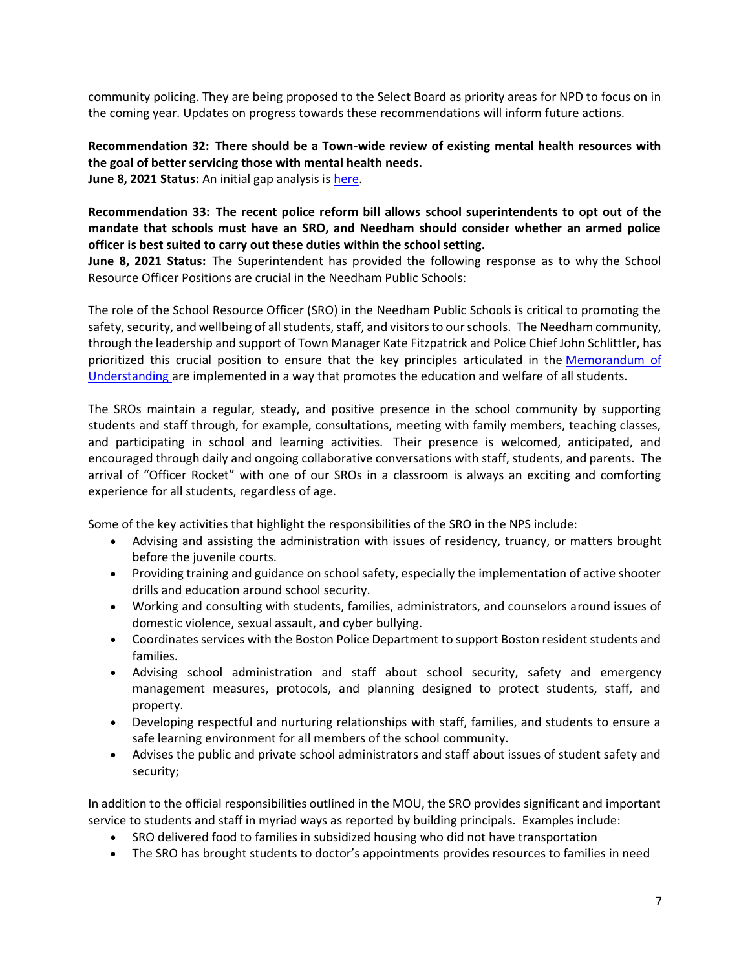community policing. They are being proposed to the Select Board as priority areas for NPD to focus on in the coming year. Updates on progress towards these recommendations will inform future actions.

**Recommendation 32: There should be a Town-wide review of existing mental health resources with the goal of better servicing those with mental health needs. June 8, 2021 Status:** An initial gap analysis is [here.](https://needham1711-my.sharepoint.com/:w:/g/personal/kfitzpatrick_needhamma_gov/EVmZPccrJglKpabmOayiiYABMHKM-KQiXEpOSA6QLT31wA?e=inLUtX)

**Recommendation 33: The recent police reform bill allows school superintendents to opt out of the mandate that schools must have an SRO, and Needham should consider whether an armed police officer is best suited to carry out these duties within the school setting.**

**June 8, 2021 Status:** The Superintendent has provided the following response as to why the School Resource Officer Positions are crucial in the Needham Public Schools:

The role of the School Resource Officer (SRO) in the Needham Public Schools is critical to promoting the safety, security, and wellbeing of all students, staff, and visitors to our schools. The Needham community, through the leadership and support of Town Manager Kate Fitzpatrick and Police Chief John Schlittler, has prioritized this crucial position to ensure that the key principles articulated in the [Memorandum of](http://www.needham.k12.ma.us/UserFiles/Servers/Server_64429/File/Departments/Superintendent)  [Understanding](http://www.needham.k12.ma.us/UserFiles/Servers/Server_64429/File/Departments/Superintendent) are implemented in a way that promotes the education and welfare of all students.

The SROs maintain a regular, steady, and positive presence in the school community by supporting students and staff through, for example, consultations, meeting with family members, teaching classes, and participating in school and learning activities. Their presence is welcomed, anticipated, and encouraged through daily and ongoing collaborative conversations with staff, students, and parents. The arrival of "Officer Rocket" with one of our SROs in a classroom is always an exciting and comforting experience for all students, regardless of age.

Some of the key activities that highlight the responsibilities of the SRO in the NPS include:

- Advising and assisting the administration with issues of residency, truancy, or matters brought before the juvenile courts.
- Providing training and guidance on school safety, especially the implementation of active shooter drills and education around school security.
- Working and consulting with students, families, administrators, and counselors around issues of domestic violence, sexual assault, and cyber bullying.
- Coordinates services with the Boston Police Department to support Boston resident students and families.
- Advising school administration and staff about school security, safety and emergency management measures, protocols, and planning designed to protect students, staff, and property.
- Developing respectful and nurturing relationships with staff, families, and students to ensure a safe learning environment for all members of the school community.
- Advises the public and private school administrators and staff about issues of student safety and security;

In addition to the official responsibilities outlined in the MOU, the SRO provides significant and important service to students and staff in myriad ways as reported by building principals. Examples include:

- SRO delivered food to families in subsidized housing who did not have transportation
- The SRO has brought students to doctor's appointments provides resources to families in need